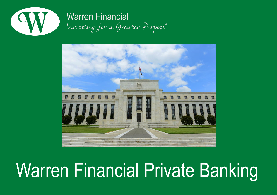

## **Warren Financial** Investing for a Greater Purpose®



# Warren Financial Private Banking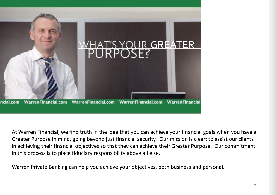

At Warren Financial, we find truth in the idea that you can achieve your financial goals when you have a Greater Purpose in mind, going beyond just financial security. Our mission is clear: to assist our clients in achieving their financial objectives so that they can achieve their Greater Purpose. Our commitment in this process is to place fiduciary responsibility above all else.

Warren Private Banking can help you achieve your objectives, both business and personal.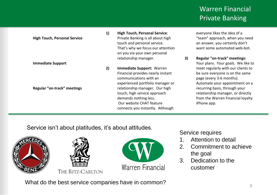|  |                                     | 1) | <b>High Touch, Personal Service:</b> |    | everyone likes the idea of a       |
|--|-------------------------------------|----|--------------------------------------|----|------------------------------------|
|  | <b>High Touch, Personal Service</b> |    | Private Banking is all about high    |    | "team" approach, when you need     |
|  |                                     |    | touch and personal service.          |    | an answer, you certainly don't     |
|  |                                     |    | That's why we focus our attention    |    | want some automated web-bot.       |
|  |                                     |    | on you via your own personal         |    |                                    |
|  |                                     |    | relationship manager.                | 3) | Regular "on-track" meetings:       |
|  | <b>Immediate Support</b>            |    |                                      |    | Your plans. Your goals. We like to |
|  |                                     | 2) | Immediate Support: Warren            |    | meet regularly with our clients to |
|  |                                     |    | Financial provides nearly instant    |    | be sure everyone is on the same    |
|  |                                     |    | communications with an               |    | page (every 3-6 months).           |
|  |                                     |    | experienced portfolio manager or     |    | Automate your appointment on a     |
|  | Regular "on-track" meetings         |    | relationship manager. Our high       |    | recurring basis, through your      |
|  |                                     |    | touch, high service approach         |    | relationship manager, or directly  |
|  |                                     |    | demands nothing less.                |    | from the Warren Financial loyalty  |
|  |                                     |    | Our website CHAT feature             |    | iPhone app.                        |
|  |                                     |    | connects you instantly. Although     |    |                                    |
|  |                                     |    |                                      |    |                                    |

Service isn't about platitudes, it's about attitudes.







Service requires

- 1. Attention to detail
- 2. Commitment to achieve the goal
- 3. Dedication to the customer

What do the best service companies have in common?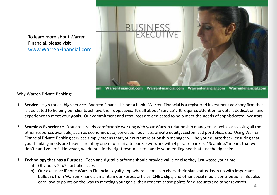To learn more about Warren Financial, please visit www.WarrenFinancial.com



Why Warren Private Banking:

- **1. Service.** High touch, high service. Warren Financial is not a bank. Warren Financial is a registered investment advisory firm that is dedicated to helping our clients achieve their objectives. It's all about "service". It requires attention to detail, dedication, and experience to meet your goals. Our commitment and resources are dedicated to help meet the needs of sophisticated investors.
- **2. Seamless Experience.** You are already comfortable working with your Warren relationship manager, as well as accessing all the other resources available, such as economic data, conviction buy lists, private equity, customized portfolios, etc. Using Warren Financial Private Banking services simply means that your current relationship manager will be your quarterback, ensuring that your banking needs are taken care of by one of our private banks (we work with 4 private banks). "Seamless" means that we don't hand you off. However, we do pull-in the right resources to handle your lending needs at just the right time.
- **3. Technology that has a Purpose.** Tech and digital platforms should provide value or else they just waste your time.
	- a) Obviously 24x7 portfolio access.
	- b) Our exclusive iPhone Warren Financial Loyalty app where clients can check their plan status, keep up with important bulletins from Warren Financial, maintain our Forbes articles, CNBC clips, and other social media contributions. But also earn loyalty points on the way to meeting your goals, then redeem those points for discounts and other rewards.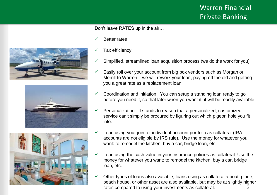Don't leave RATES up in the air…

- Better rates
- Tax efficiency
- Simplified, streamlined loan acquisition process (we do the work for you)
- $\checkmark$  Easily roll over your account from big box vendors such as Morgan or Merrill to Warren – we will rework your loan, paying off the old and getting you a great rate as a replacement loan.
- $\checkmark$  Coordination and initiation. You can setup a standing loan ready to go before you need it, so that later when you want it, it will be readily available.
- Personalization. It stands to reason that a personalized, customized service can't simply be procured by figuring out which pigeon hole you fit into.
- Loan using your joint or individual account portfolio as collateral (IRA accounts are not eligible by IRS rule). Use the money for whatever you want: to remodel the kitchen, buy a car, bridge loan, etc.
- Loan using the cash value in your insurance policies as collateral. Use the money for whatever you want: to remodel the kitchen, buy a car, bridge loan, etc.
- 5  $\checkmark$  Other types of loans also available, loans using as collateral a boat, plane, beach house, or other asset are also available, but may be at slightly higher rates compared to using your investments as collateral.





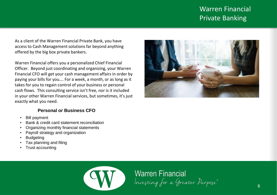As a client of the Warren Financial Private Bank, you have access to Cash Management solutions far beyond anything offered by the big box private bankers.

Warren Financial offers you a personalized Chief Financial Officer. Beyond just coordinating and organizing, your Warren Financial CFO will get your cash management affairs in order by paying your bills for you…. For a week, a month, or as long as it takes for you to regain control of your business or personal cash flows. This consulting service isn't free, nor is it included in your other Warren Financial services, but sometimes, it's just exactly what you need.

#### **Personal or Business CFO**

- Bill payment
- Bank & credit card statement reconciliation
- Organizing monthly financial statements
- Payroll strategy and organization
- **Budgeting**
- Tax planning and filing
- Trust accounting





**Warren Financial** Investing for a Greater Purpose®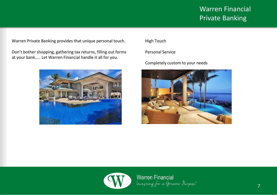Warren Private Banking provides that unique personal touch.

Don't bother shopping, gathering tax returns, filling out forms at your bank….. Let Warren Financial handle it all for you.



High Touch

Personal Service

Completely custom to your needs